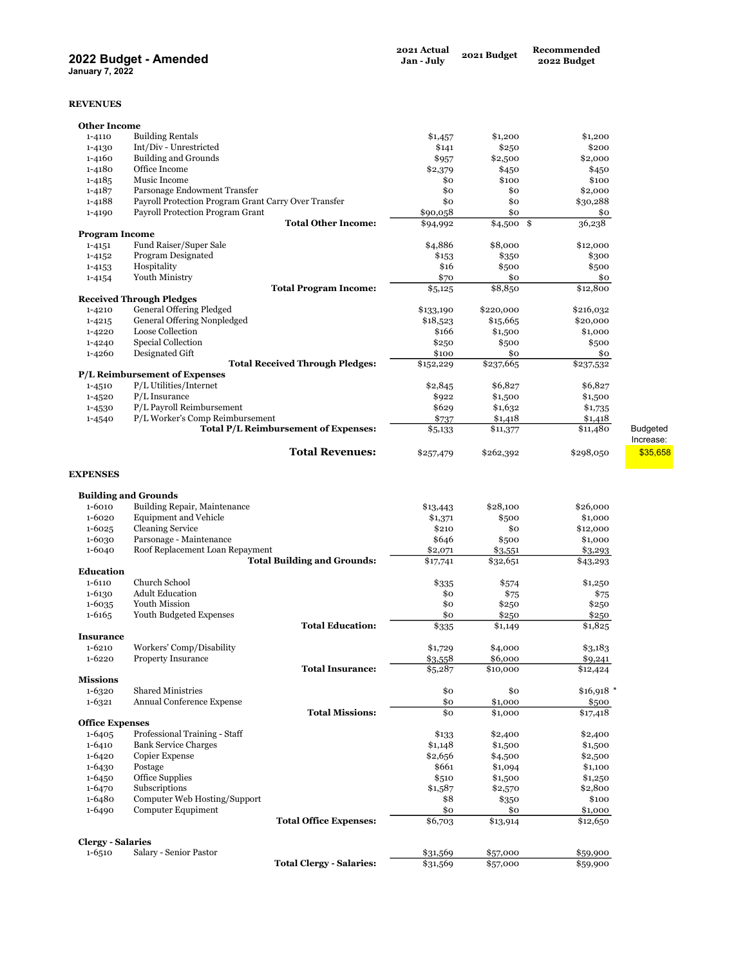## 2022 Budget - Amended

January 7, 2022

## REVENUES

| 1-4100                 | <b>DUTIONIAN SHOW OF OUTION</b>                      | 995/      | \$2,500       | 2,000       |                 |
|------------------------|------------------------------------------------------|-----------|---------------|-------------|-----------------|
| 1-4180                 | Office Income                                        | \$2,379   | \$450         | \$450       |                 |
| $1 - 4185$             | Music Income                                         | \$0       | \$100         | \$100       |                 |
| $1 - 4187$             | Parsonage Endowment Transfer                         | \$0       | \$0           | \$2,000     |                 |
| 1-4188                 | Payroll Protection Program Grant Carry Over Transfer | \$0       | \$0           | \$30,288    |                 |
| 1-4190                 | Payroll Protection Program Grant                     | \$90,058  | \$0           | \$0         |                 |
|                        | <b>Total Other Income:</b>                           | \$94,992  | \$<br>\$4,500 | 36,238      |                 |
| <b>Program Income</b>  |                                                      |           |               |             |                 |
|                        | Fund Raiser/Super Sale                               |           |               |             |                 |
| $1 - 4151$             |                                                      | \$4,886   | \$8,000       | \$12,000    |                 |
| $1 - 4152$             | Program Designated                                   | \$153     | \$350         | \$300       |                 |
| $1 - 4153$             | Hospitality                                          | \$16      | \$500         | \$500       |                 |
| 1-4154                 | Youth Ministry                                       | \$70      | \$0           | \$0         |                 |
|                        | <b>Total Program Income:</b>                         | \$5,125   | \$8,850       | \$12,800    |                 |
|                        | <b>Received Through Pledges</b>                      |           |               |             |                 |
| 1-4210                 | General Offering Pledged                             | \$133,190 | \$220,000     | \$216,032   |                 |
| $1 - 4215$             | General Offering Nonpledged                          | \$18,523  | \$15,665      | \$20,000    |                 |
| 1-4220                 | Loose Collection                                     | \$166     | \$1,500       | \$1,000     |                 |
| 1-4240                 | Special Collection                                   | \$250     | \$500         | \$500       |                 |
| 1-4260                 | Designated Gift                                      | \$100     | \$0           | \$0         |                 |
|                        | <b>Total Received Through Pledges:</b>               | \$152,229 | \$237,665     | \$237,532   |                 |
|                        | P/L Reimbursement of Expenses                        |           |               |             |                 |
| 1-4510                 | P/L Utilities/Internet                               | \$2,845   | \$6,827       | \$6,827     |                 |
|                        | $P/L$ Insurance                                      |           |               |             |                 |
| 1-4520                 |                                                      | \$922     | \$1,500       | \$1,500     |                 |
| 1-4530                 | P/L Payroll Reimbursement                            | \$629     | \$1,632       | \$1,735     |                 |
| 1-4540                 | P/L Worker's Comp Reimbursement                      | \$737     | \$1,418       | \$1,418     |                 |
|                        | Total P/L Reimbursement of Expenses:                 | \$5,133   | \$11,377      | \$11,480    | <b>Budgeted</b> |
|                        |                                                      |           |               |             | Increase:       |
|                        | <b>Total Revenues:</b>                               | \$257,479 | \$262,392     | \$298,050   | \$35,658        |
| <b>EXPENSES</b>        |                                                      |           |               |             |                 |
|                        | <b>Building and Grounds</b>                          |           |               |             |                 |
| 1-6010                 | Building Repair, Maintenance                         | \$13,443  | \$28,100      | \$26,000    |                 |
| 1-6020                 | Equipment and Vehicle                                | \$1,371   | \$500         | \$1,000     |                 |
| $1 - 6025$             | Cleaning Service                                     | \$210     | \$0           | \$12,000    |                 |
| 1-6030                 | Parsonage - Maintenance                              | \$646     | \$500         | \$1,000     |                 |
| 1-6040                 | Roof Replacement Loan Repayment                      | \$2,071   | \$3,551       | \$3,293     |                 |
|                        | <b>Total Building and Grounds:</b>                   | \$17,741  | \$32,651      | \$43,293    |                 |
| Education              |                                                      |           |               |             |                 |
| 1-6110                 | Church School                                        | \$335     | \$574         | \$1,250     |                 |
| 1-6130                 | <b>Adult Education</b>                               | \$0       | \$75          | \$75        |                 |
| 1-6035                 | Youth Mission                                        | \$0       | \$250         | \$250       |                 |
| $1 - 6165$             | Youth Budgeted Expenses                              | \$0       | \$250         | \$250       |                 |
|                        | <b>Total Education:</b>                              | \$335     | \$1,149       | \$1,825     |                 |
| <b>Insurance</b>       |                                                      |           |               |             |                 |
| 1-6210                 | Workers' Comp/Disability                             |           | \$4,000       |             |                 |
| $1 - 6220$             |                                                      | \$1,729   |               | \$3,183     |                 |
|                        | <b>Property Insurance</b>                            | \$3,558   | \$6,000       | \$9,241     |                 |
|                        | <b>Total Insurance:</b>                              | \$5,287   | \$10,000      | \$12,424    |                 |
| <b>Missions</b>        |                                                      |           |               |             |                 |
| 1-6320                 | <b>Shared Ministries</b>                             | \$0       | \$0           | $$16,918$ * |                 |
| 1-6321                 | Annual Conference Expense                            | \$0       | \$1,000       | \$500       |                 |
|                        | <b>Total Missions:</b>                               | \$0       | \$1,000       | \$17,418    |                 |
| <b>Office Expenses</b> |                                                      |           |               |             |                 |
| 1-6405                 | Professional Training - Staff                        | \$133     | \$2,400       | \$2,400     |                 |
| 1-6410                 | <b>Bank Service Charges</b>                          | \$1,148   | \$1,500       | \$1,500     |                 |
| 1-6420                 | Copier Expense                                       | \$2,656   | \$4,500       | \$2,500     |                 |
| 1-6430                 | Postage                                              | \$661     | \$1,094       | \$1,100     |                 |
| 1-6450                 | Office Supplies                                      | \$510     | \$1,500       | \$1,250     |                 |
| $1-6470$               | Subscriptions                                        | \$1,587   | \$2,570       | \$2,800     |                 |
| 1-6480                 | Computer Web Hosting/Support                         | \$8       | \$350         | \$100       |                 |
| 1-6490                 | <b>Computer Equpiment</b>                            | \$0       | \$0           | \$1,000     |                 |
|                        | <b>Total Office Expenses:</b>                        | \$6,703   | \$13,914      | \$12,650    |                 |
|                        |                                                      |           |               |             |                 |

Total Clergy - Salaries:

## Clergy - Salaries<br>1-6510 Salar

1-1-1-1-1<br>
Salary - Senior Pastor<br> **11-659.900 11-659.900 131,569 57,000 \$59,900 \$59,900 \$59,900 \$59,900** 

2021 Actual 2021 Budget Recommended

2022 Budget